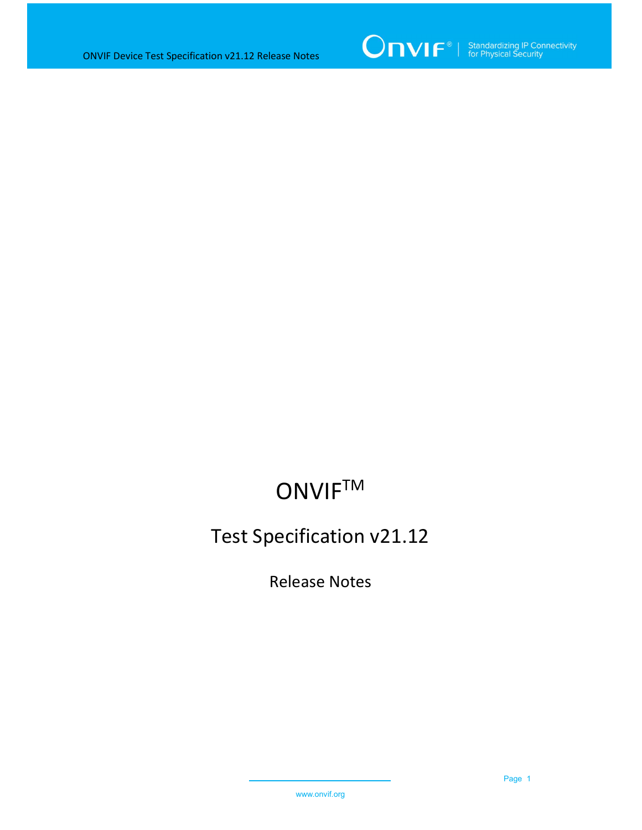

# **ONVIF™**

### Test Specification v21.12

Release Notes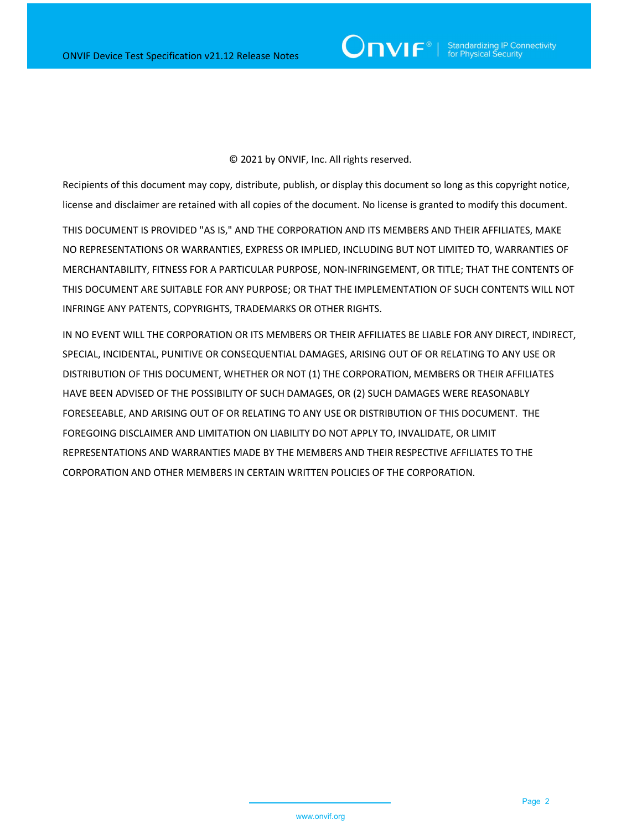#### © 2021 by ONVIF, Inc. All rights reserved.

Recipients of this document may copy, distribute, publish, or display this document so long as this copyright notice, license and disclaimer are retained with all copies of the document. No license is granted to modify this document.

THIS DOCUMENT IS PROVIDED "AS IS," AND THE CORPORATION AND ITS MEMBERS AND THEIR AFFILIATES, MAKE NO REPRESENTATIONS OR WARRANTIES, EXPRESS OR IMPLIED, INCLUDING BUT NOT LIMITED TO, WARRANTIES OF MERCHANTABILITY, FITNESS FOR A PARTICULAR PURPOSE, NON-INFRINGEMENT, OR TITLE; THAT THE CONTENTS OF THIS DOCUMENT ARE SUITABLE FOR ANY PURPOSE; OR THAT THE IMPLEMENTATION OF SUCH CONTENTS WILL NOT INFRINGE ANY PATENTS, COPYRIGHTS, TRADEMARKS OR OTHER RIGHTS.

IN NO EVENT WILL THE CORPORATION OR ITS MEMBERS OR THEIR AFFILIATES BE LIABLE FOR ANY DIRECT, INDIRECT, SPECIAL, INCIDENTAL, PUNITIVE OR CONSEQUENTIAL DAMAGES, ARISING OUT OF OR RELATING TO ANY USE OR DISTRIBUTION OF THIS DOCUMENT, WHETHER OR NOT (1) THE CORPORATION, MEMBERS OR THEIR AFFILIATES HAVE BEEN ADVISED OF THE POSSIBILITY OF SUCH DAMAGES, OR (2) SUCH DAMAGES WERE REASONABLY FORESEEABLE, AND ARISING OUT OF OR RELATING TO ANY USE OR DISTRIBUTION OF THIS DOCUMENT. THE FOREGOING DISCLAIMER AND LIMITATION ON LIABILITY DO NOT APPLY TO, INVALIDATE, OR LIMIT REPRESENTATIONS AND WARRANTIES MADE BY THE MEMBERS AND THEIR RESPECTIVE AFFILIATES TO THE CORPORATION AND OTHER MEMBERS IN CERTAIN WRITTEN POLICIES OF THE CORPORATION.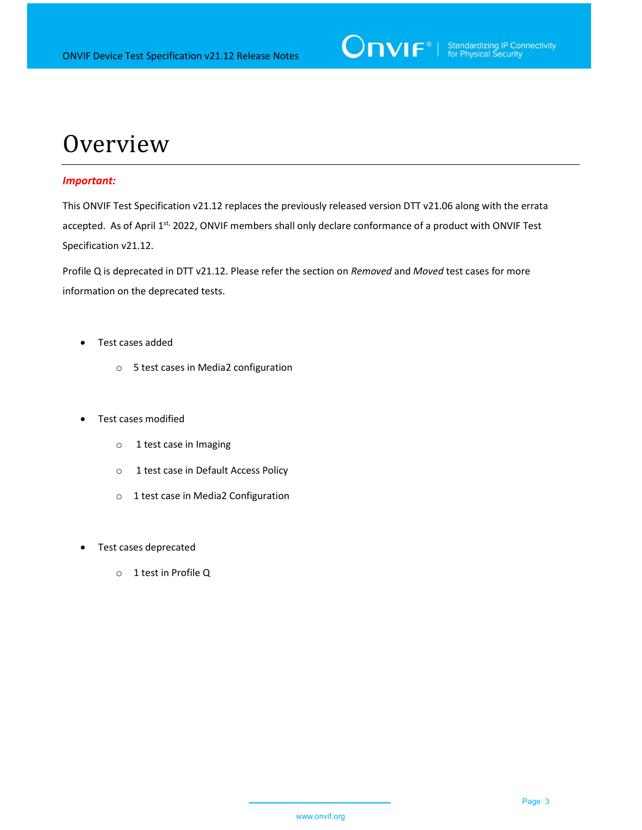

## **Overview**

#### Important:

This ONVIF Test Specification v21.12 replaces the previously released version DTT v21.06 along with the errata accepted. As of April 1<sup>st,</sup> 2022, ONVIF members shall only declare conformance of a product with ONVIF Test Specification v21.12.

Profile Q is deprecated in DTT v21.12. Please refer the section on Removed and Moved test cases for more information on the deprecated tests.

- Test cases added
	- o 5 test cases in Media2 configuration
- Test cases modified
	- o 1 test case in Imaging
	- o 1 test case in Default Access Policy
	- o 1 test case in Media2 Configuration
- Test cases deprecated
	- o 1 test in Profile Q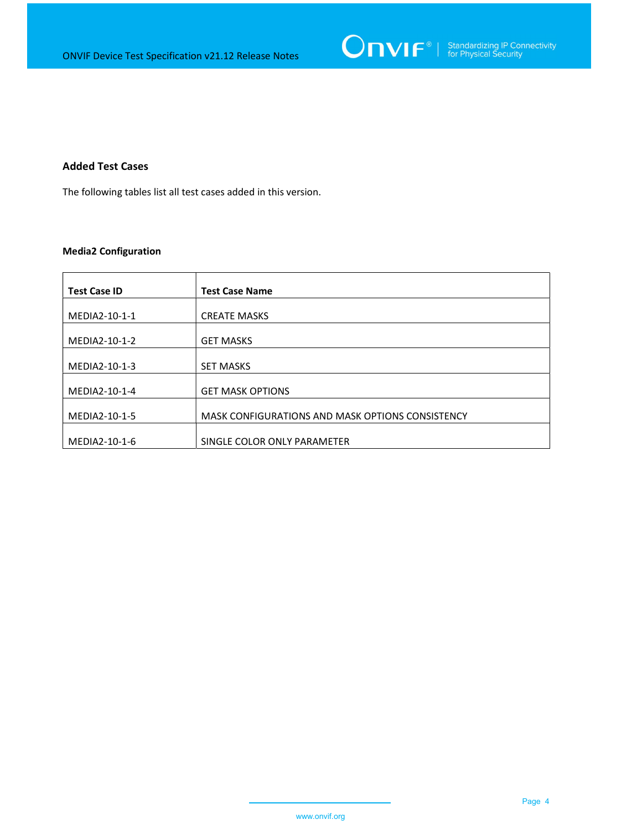

#### Added Test Cases

The following tables list all test cases added in this version.

#### Media2 Configuration

| <b>Test Case ID</b> | <b>Test Case Name</b>                            |
|---------------------|--------------------------------------------------|
| MEDIA2-10-1-1       | <b>CREATE MASKS</b>                              |
|                     |                                                  |
| MEDIA2-10-1-2       | <b>GET MASKS</b>                                 |
| MEDIA2-10-1-3       | <b>SET MASKS</b>                                 |
| MEDIA2-10-1-4       | <b>GET MASK OPTIONS</b>                          |
| MEDIA2-10-1-5       | MASK CONFIGURATIONS AND MASK OPTIONS CONSISTENCY |
| MEDIA2-10-1-6       | SINGLE COLOR ONLY PARAMETER                      |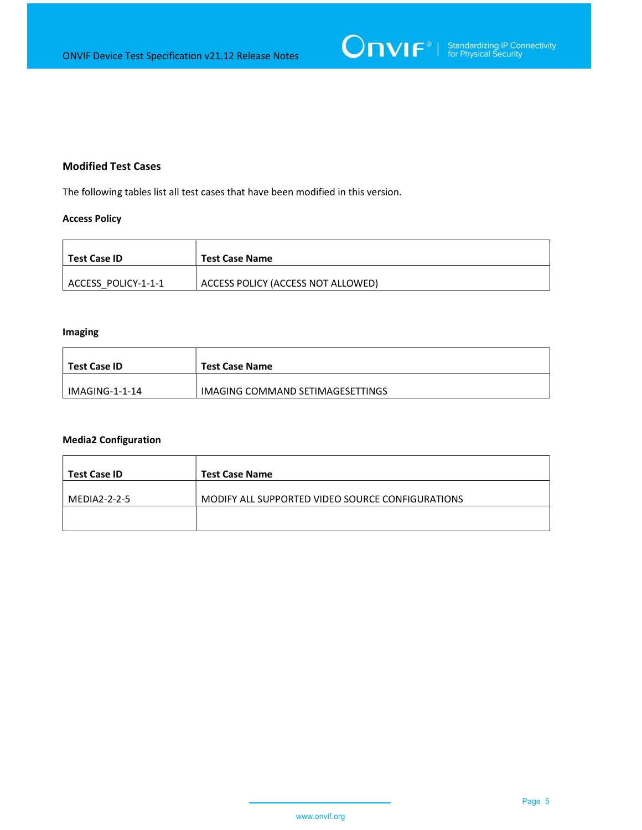

#### Modified Test Cases

The following tables list all test cases that have been modified in this version.

#### Access Policy

| Test Case ID        | <b>Test Case Name</b>              |
|---------------------|------------------------------------|
| ACCESS POLICY-1-1-1 | ACCESS POLICY (ACCESS NOT ALLOWED) |

#### Imaging

| Test Case ID   | <b>Test Case Name</b>            |
|----------------|----------------------------------|
| IMAGING-1-1-14 | IMAGING COMMAND SETIMAGESETTINGS |

#### Media2 Configuration

| Test Case ID | <b>Test Case Name</b>                            |
|--------------|--------------------------------------------------|
| MEDIA2-2-2-5 | MODIFY ALL SUPPORTED VIDEO SOURCE CONFIGURATIONS |
|              |                                                  |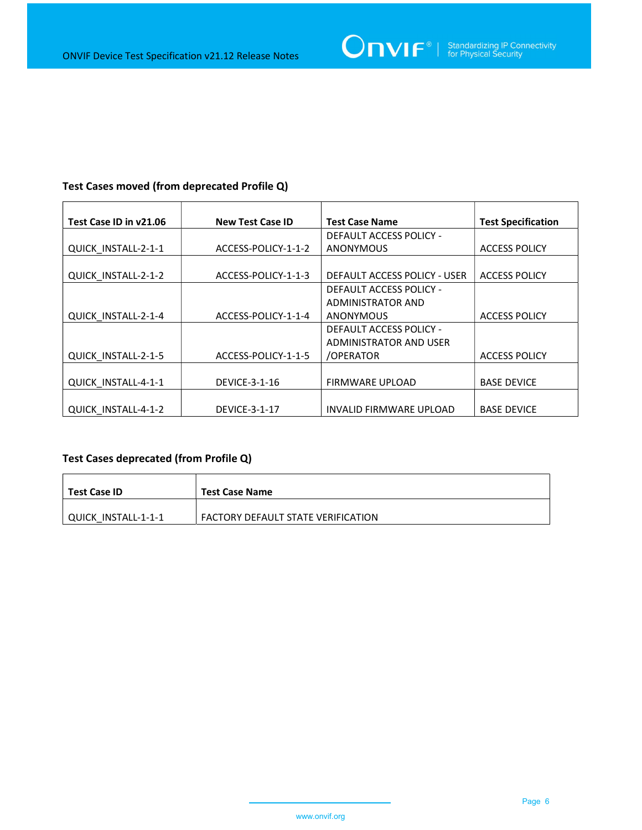| Test Case ID in v21.06 | <b>New Test Case ID</b> | <b>Test Case Name</b>          | <b>Test Specification</b> |
|------------------------|-------------------------|--------------------------------|---------------------------|
|                        |                         | DEFAULT ACCESS POLICY -        |                           |
| QUICK INSTALL-2-1-1    | ACCESS-POLICY-1-1-2     | <b>ANONYMOUS</b>               | <b>ACCESS POLICY</b>      |
|                        |                         |                                |                           |
| QUICK_INSTALL-2-1-2    | ACCESS-POLICY-1-1-3     | DEFAULT ACCESS POLICY - USER   | <b>ACCESS POLICY</b>      |
|                        |                         | DEFAULT ACCESS POLICY -        |                           |
|                        |                         | <b>ADMINISTRATOR AND</b>       |                           |
| QUICK INSTALL-2-1-4    | ACCESS-POLICY-1-1-4     | <b>ANONYMOUS</b>               | <b>ACCESS POLICY</b>      |
|                        |                         | <b>DEFAULT ACCESS POLICY -</b> |                           |
|                        |                         | ADMINISTRATOR AND USER         |                           |
| QUICK INSTALL-2-1-5    | ACCESS-POLICY-1-1-5     | /OPERATOR                      | <b>ACCESS POLICY</b>      |
|                        |                         |                                |                           |
| QUICK INSTALL-4-1-1    | <b>DEVICE-3-1-16</b>    | <b>FIRMWARE UPLOAD</b>         | <b>BASE DEVICE</b>        |
|                        |                         |                                |                           |
| QUICK INSTALL-4-1-2    | <b>DEVICE-3-1-17</b>    | INVALID FIRMWARE UPLOAD        | <b>BASE DEVICE</b>        |

#### Test Cases moved (from deprecated Profile Q)

### Test Cases deprecated (from Profile Q)

| Test Case ID        | <b>Test Case Name</b>              |
|---------------------|------------------------------------|
| QUICK INSTALL-1-1-1 | FACTORY DEFAULT STATE VERIFICATION |